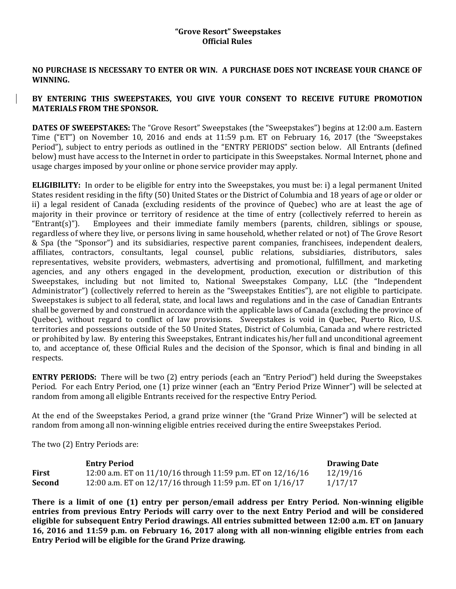### **"Grove Resort" Sweepstakes Official Rules**

## **NO PURCHASE IS NECESSARY TO ENTER OR WIN. A PURCHASE DOES NOT INCREASE YOUR CHANCE OF WINNING.**

# **BY ENTERING THIS SWEEPSTAKES, YOU GIVE YOUR CONSENT TO RECEIVE FUTURE PROMOTION MATERIALS FROM THE SPONSOR.**

**DATES OF SWEEPSTAKES:** The "Grove Resort" Sweepstakes (the "Sweepstakes") begins at 12:00 a.m. Eastern Time ("ET") on November 10, 2016 and ends at 11:59 p.m. ET on February 16, 2017 (the "Sweepstakes Period"), subject to entry periods as outlined in the "ENTRY PERIODS" section below. All Entrants (defined below) must have access to the Internet in order to participate in this Sweepstakes. Normal Internet, phone and usage charges imposed by your online or phone service provider may apply.

**ELIGIBILITY:** In order to be eligible for entry into the Sweepstakes, you must be: i) a legal permanent United States resident residing in the fifty (50) United States or the District of Columbia and 18 years of age or older or ii) a legal resident of Canada (excluding residents of the province of Quebec) who are at least the age of majority in their province or territory of residence at the time of entry (collectively referred to herein as "Entrant(s)"). Employees and their immediate family members (parents, children, siblings or spouse, regardless of where they live, or persons living in same household, whether related or not) of The Grove Resort & Spa (the "Sponsor") and its subsidiaries, respective parent companies, franchisees, independent dealers, affiliates, contractors, consultants, legal counsel, public relations, subsidiaries, distributors, sales representatives, website providers, webmasters, advertising and promotional, fulfillment, and marketing agencies, and any others engaged in the development, production, execution or distribution of this Sweepstakes, including but not limited to, National Sweepstakes Company, LLC (the "Independent Administrator") (collectively referred to herein as the "Sweepstakes Entities"), are not eligible to participate. Sweepstakes is subject to all federal, state, and local laws and regulations and in the case of Canadian Entrants shall be governed by and construed in accordance with the applicable laws of Canada (excluding the province of Quebec), without regard to conflict of law provisions. Sweepstakes is void in Quebec, Puerto Rico, U.S. territories and possessions outside of the 50 United States, District of Columbia, Canada and where restricted or prohibited by law. By entering this Sweepstakes, Entrant indicates his/her full and unconditional agreement to, and acceptance of, these Official Rules and the decision of the Sponsor, which is final and binding in all respects.

**ENTRY PERIODS:** There will be two (2) entry periods (each an "Entry Period") held during the Sweepstakes Period. For each Entry Period, one (1) prize winner (each an "Entry Period Prize Winner") will be selected at random from among all eligible Entrants received for the respective Entry Period.

At the end of the Sweepstakes Period, a grand prize winner (the "Grand Prize Winner") will be selected at random from among all non-winning eligible entries received during the entire Sweepstakes Period.

The two (2) Entry Periods are:

|              | <b>Entry Period</b>                                            | <b>Drawing Date</b> |
|--------------|----------------------------------------------------------------|---------------------|
| <b>First</b> | 12:00 a.m. ET on 11/10/16 through 11:59 p.m. ET on 12/16/16    | 12/19/16            |
| Second       | 12:00 a.m. ET on $12/17/16$ through 11:59 p.m. ET on $1/16/17$ | 1/17/17             |

**There is a limit of one (1) entry per person/email address per Entry Period. Non-winning eligible entries from previous Entry Periods will carry over to the next Entry Period and will be considered eligible for subsequent Entry Period drawings. All entries submitted between 12:00 a.m. ET on January 16, 2016 and 11:59 p.m. on February 16, 2017 along with all non-winning eligible entries from each Entry Period will be eligible for the Grand Prize drawing.**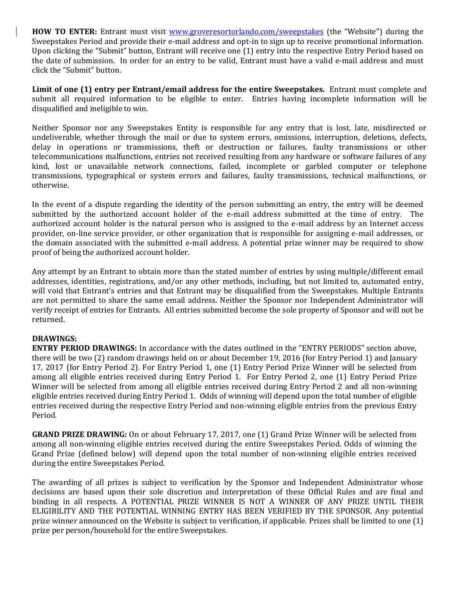**HOW TO ENTER:** Entrant must visit [www.groveresortorlando.com/sweepstakes](http://www.groveresortorlando.com/sweepstakes) (the "Website") during the Sweepstakes Period and provide their e-mail address and opt-in to sign up to receive promotional information. Upon clicking the "Submit" button, Entrant will receive one (1) entry into the respective Entry Period based on the date of submission. In order for an entry to be valid, Entrant must have a valid e-mail address and must click the "Submit" button.

**Limit of one (1) entry per Entrant/email address for the entire Sweepstakes.** Entrant must complete and submit all required information to be eligible to enter. Entries having incomplete information will be disqualified and ineligible to win.

Neither Sponsor nor any Sweepstakes Entity is responsible for any entry that is lost, late, misdirected or undeliverable, whether through the mail or due to system errors, omissions, interruption, deletions, defects, delay in operations or transmissions, theft or destruction or failures, faulty transmissions or other telecommunications malfunctions, entries not received resulting from any hardware or software failures of any kind, lost or unavailable network connections, failed, incomplete or garbled computer or telephone transmissions, typographical or system errors and failures, faulty transmissions, technical malfunctions, or otherwise.

In the event of a dispute regarding the identity of the person submitting an entry, the entry will be deemed submitted by the authorized account holder of the e-mail address submitted at the time of entry. The authorized account holder is the natural person who is assigned to the e-mail address by an Internet access provider, on-line service provider, or other organization that is responsible for assigning e-mail addresses, or the domain associated with the submitted e-mail address. A potential prize winner may be required to show proof of being the authorized account holder.

Any attempt by an Entrant to obtain more than the stated number of entries by using multiple/different email addresses, identities, registrations, and/or any other methods, including, but not limited to, automated entry, will void that Entrant's entries and that Entrant may be disqualified from the Sweepstakes. Multiple Entrants are not permitted to share the same email address. Neither the Sponsor nor Independent Administrator will verify receipt of entries for Entrants. All entries submitted become the sole property of Sponsor and will not be returned.

### **DRAWINGS:**

**ENTRY PERIOD DRAWINGS:** In accordance with the dates outlined in the "ENTRY PERIODS" section above, there will be two (2) random drawings held on or about December 19, 2016 (for Entry Period 1) and January 17, 2017 (for Entry Period 2). For Entry Period 1, one (1) Entry Period Prize Winner will be selected from among all eligible entries received during Entry Period 1. For Entry Period 2, one (1) Entry Period Prize Winner will be selected from among all eligible entries received during Entry Period 2 and all non-winning eligible entries received during Entry Period 1. Odds of winning will depend upon the total number of eligible entries received during the respective Entry Period and non-winning eligible entries from the previous Entry Period.

**GRAND PRIZE DRAWING:** On or about February 17, 2017, one (1) Grand Prize Winner will be selected from among all non-winning eligible entries received during the entire Sweepstakes Period. Odds of winning the Grand Prize (defined below) will depend upon the total number of non-winning eligible entries received during the entire Sweepstakes Period.

The awarding of all prizes is subject to verification by the Sponsor and Independent Administrator whose decisions are based upon their sole discretion and interpretation of these Official Rules and are final and binding in all respects. A POTENTIAL PRIZE WINNER IS NOT A WINNER OF ANY PRIZE UNTIL THEIR ELIGIBILITY AND THE POTENTIAL WINNING ENTRY HAS BEEN VERIFIED BY THE SPONSOR. Any potential prize winner announced on the Website is subject to verification, if applicable. Prizes shall be limited to one (1) prize per person/household for the entire Sweepstakes.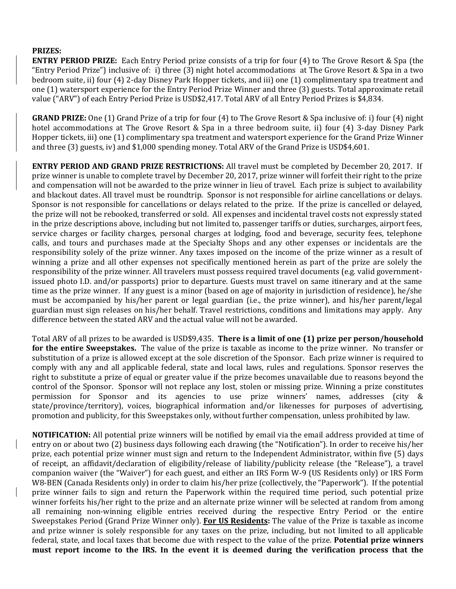## **PRIZES:**

**ENTRY PERIOD PRIZE:** Each Entry Period prize consists of a trip for four (4) to The Grove Resort & Spa (the "Entry Period Prize") inclusive of: i) three (3) night hotel accommodations at The Grove Resort & Spa in a two bedroom suite, ii) four (4) 2-day Disney Park Hopper tickets, and iii) one (1) complimentary spa treatment and one (1) watersport experience for the Entry Period Prize Winner and three (3) guests. Total approximate retail value ("ARV") of each Entry Period Prize is USD\$2,417. Total ARV of all Entry Period Prizes is \$4,834.

**GRAND PRIZE:** One (1) Grand Prize of a trip for four (4) to The Grove Resort & Spa inclusive of: i) four (4) night hotel accommodations at The Grove Resort & Spa in a three bedroom suite, ii) four (4) 3-day Disney Park Hopper tickets, iii) one (1) complimentary spa treatment and watersport experience for the Grand Prize Winner and three (3) guests, iv) and \$1,000 spending money. Total ARV of the Grand Prize is USD\$4,601.

**ENTRY PERIOD AND GRAND PRIZE RESTRICTIONS:** All travel must be completed by December 20, 2017. If prize winner is unable to complete travel by December 20, 2017, prize winner will forfeit their right to the prize and compensation will not be awarded to the prize winner in lieu of travel. Each prize is subject to availability and blackout dates. All travel must be roundtrip. Sponsor is not responsible for airline cancellations or delays. Sponsor is not responsible for cancellations or delays related to the prize. If the prize is cancelled or delayed, the prize will not be rebooked, transferred or sold. All expenses and incidental travel costs not expressly stated in the prize descriptions above, including but not limited to, passenger tariffs or duties, surcharges, airport fees, service charges or facility charges, personal charges at lodging, food and beverage, security fees, telephone calls, and tours and purchases made at the Specialty Shops and any other expenses or incidentals are the responsibility solely of the prize winner. Any taxes imposed on the income of the prize winner as a result of winning a prize and all other expenses not specifically mentioned herein as part of the prize are solely the responsibility of the prize winner. All travelers must possess required travel documents (e.g. valid governmentissued photo I.D. and/or passports) prior to departure. Guests must travel on same itinerary and at the same time as the prize winner. If any guest is a minor (based on age of majority in jurisdiction of residence), he/she must be accompanied by his/her parent or legal guardian (i.e., the prize winner), and his/her parent/legal guardian must sign releases on his/her behalf. Travel restrictions, conditions and limitations may apply. Any difference between the stated ARV and the actual value will not be awarded.

Total ARV of all prizes to be awarded is USD\$9,435. **There is a limit of one (1) prize per person/household for the entire Sweepstakes.** The value of the prize is taxable as income to the prize winner. No transfer or substitution of a prize is allowed except at the sole discretion of the Sponsor. Each prize winner is required to comply with any and all applicable federal, state and local laws, rules and regulations. Sponsor reserves the right to substitute a prize of equal or greater value if the prize becomes unavailable due to reasons beyond the control of the Sponsor. Sponsor will not replace any lost, stolen or missing prize. Winning a prize constitutes permission for Sponsor and its agencies to use prize winners' names, addresses (city & state/province/territory), voices, biographical information and/or likenesses for purposes of advertising, promotion and publicity, for this Sweepstakes only, without further compensation, unless prohibited by law.

**NOTIFICATION:** All potential prize winners will be notified by email via the email address provided at time of entry on or about two (2) business days following each drawing (the "Notification"). In order to receive his/her prize, each potential prize winner must sign and return to the Independent Administrator, within five (5) days of receipt, an affidavit/declaration of eligibility/release of liability/publicity release (the "Release"), a travel companion waiver (the "Waiver") for each guest, and either an IRS Form W-9 (US Residents only) or IRS Form W8-BEN (Canada Residents only) in order to claim his/her prize (collectively, the "Paperwork"). If the potential prize winner fails to sign and return the Paperwork within the required time period, such potential prize winner forfeits his/her right to the prize and an alternate prize winner will be selected at random from among all remaining non-winning eligible entries received during the respective Entry Period or the entire Sweepstakes Period (Grand Prize Winner only). **For US Residents:** The value of the Prize is taxable as income and prize winner is solely responsible for any taxes on the prize, including, but not limited to all applicable federal, state, and local taxes that become due with respect to the value of the prize. **Potential prize winners must report income to the IRS. In the event it is deemed during the verification process that the**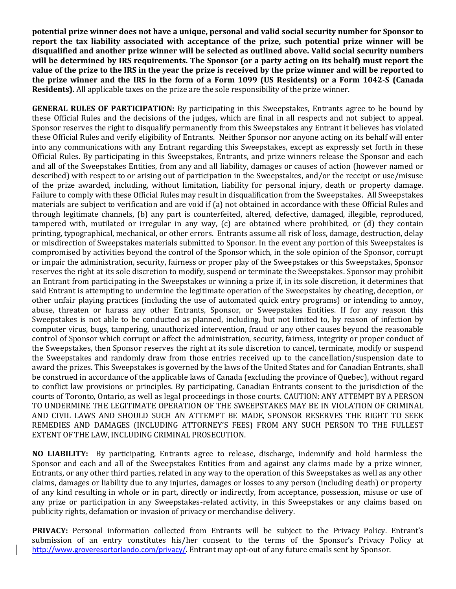**potential prize winner does not have a unique, personal and valid social security number for Sponsor to report the tax liability associated with acceptance of the prize, such potential prize winner will be disqualified and another prize winner will be selected as outlined above. Valid social security numbers will be determined by IRS requirements. The Sponsor (or a party acting on its behalf) must report the value of the prize to the IRS in the year the prize is received by the prize winner and will be reported to the prize winner and the IRS in the form of a Form 1099 (US Residents) or a Form 1042-S (Canada Residents).** All applicable taxes on the prize are the sole responsibility of the prize winner.

**GENERAL RULES OF PARTICIPATION:** By participating in this Sweepstakes, Entrants agree to be bound by these Official Rules and the decisions of the judges, which are final in all respects and not subject to appeal. Sponsor reserves the right to disqualify permanently from this Sweepstakes any Entrant it believes has violated these Official Rules and verify eligibility of Entrants. Neither Sponsor nor anyone acting on its behalf will enter into any communications with any Entrant regarding this Sweepstakes, except as expressly set forth in these Official Rules. By participating in this Sweepstakes, Entrants, and prize winners release the Sponsor and each and all of the Sweepstakes Entities, from any and all liability, damages or causes of action (however named or described) with respect to or arising out of participation in the Sweepstakes, and/or the receipt or use/misuse of the prize awarded, including, without limitation, liability for personal injury, death or property damage. Failure to comply with these Official Rules may result in disqualification from the Sweepstakes. All Sweepstakes materials are subject to verification and are void if (a) not obtained in accordance with these Official Rules and through legitimate channels, (b) any part is counterfeited, altered, defective, damaged, illegible, reproduced, tampered with, mutilated or irregular in any way, (c) are obtained where prohibited, or (d) they contain printing, typographical, mechanical, or other errors. Entrants assume all risk of loss, damage, destruction, delay or misdirection of Sweepstakes materials submitted to Sponsor. In the event any portion of this Sweepstakes is compromised by activities beyond the control of the Sponsor which, in the sole opinion of the Sponsor, corrupt or impair the administration, security, fairness or proper play of the Sweepstakes or this Sweepstakes, Sponsor reserves the right at its sole discretion to modify, suspend or terminate the Sweepstakes. Sponsor may prohibit an Entrant from participating in the Sweepstakes or winning a prize if, in its sole discretion, it determines that said Entrant is attempting to undermine the legitimate operation of the Sweepstakes by cheating, deception, or other unfair playing practices (including the use of automated quick entry programs) or intending to annoy, abuse, threaten or harass any other Entrants, Sponsor, or Sweepstakes Entities. If for any reason this Sweepstakes is not able to be conducted as planned, including, but not limited to, by reason of infection by computer virus, bugs, tampering, unauthorized intervention, fraud or any other causes beyond the reasonable control of Sponsor which corrupt or affect the administration, security, fairness, integrity or proper conduct of the Sweepstakes, then Sponsor reserves the right at its sole discretion to cancel, terminate, modify or suspend the Sweepstakes and randomly draw from those entries received up to the cancellation/suspension date to award the prizes. This Sweepstakes is governed by the laws of the United States and for Canadian Entrants, shall be construed in accordance of the applicable laws of Canada (excluding the province of Quebec), without regard to conflict law provisions or principles. By participating, Canadian Entrants consent to the jurisdiction of the courts of Toronto, Ontario, as well as legal proceedings in those courts. CAUTION: ANY ATTEMPT BY A PERSON TO UNDERMINE THE LEGITIMATE OPERATION OF THE SWEEPSTAKES MAY BE IN VIOLATION OF CRIMINAL AND CIVIL LAWS AND SHOULD SUCH AN ATTEMPT BE MADE, SPONSOR RESERVES THE RIGHT TO SEEK REMEDIES AND DAMAGES (INCLUDING ATTORNEY'S FEES) FROM ANY SUCH PERSON TO THE FULLEST EXTENT OF THE LAW, INCLUDING CRIMINAL PROSECUTION.

**NO LIABILITY:** By participating, Entrants agree to release, discharge, indemnify and hold harmless the Sponsor and each and all of the Sweepstakes Entities from and against any claims made by a prize winner, Entrants, or any other third parties, related in any way to the operation of this Sweepstakes as well as any other claims, damages or liability due to any injuries, damages or losses to any person (including death) or property of any kind resulting in whole or in part, directly or indirectly, from acceptance, possession, misuse or use of any prize or participation in any Sweepstakes-related activity, in this Sweepstakes or any claims based on publicity rights, defamation or invasion of privacy or merchandise delivery.

**PRIVACY:** Personal information collected from Entrants will be subject to the Privacy Policy. Entrant's submission of an entry constitutes his/her consent to the terms of the Sponsor's Privacy Policy at <http://www.groveresortorlando.com/privacy/>. Entrant may opt-out of any future emails sent by Sponsor.